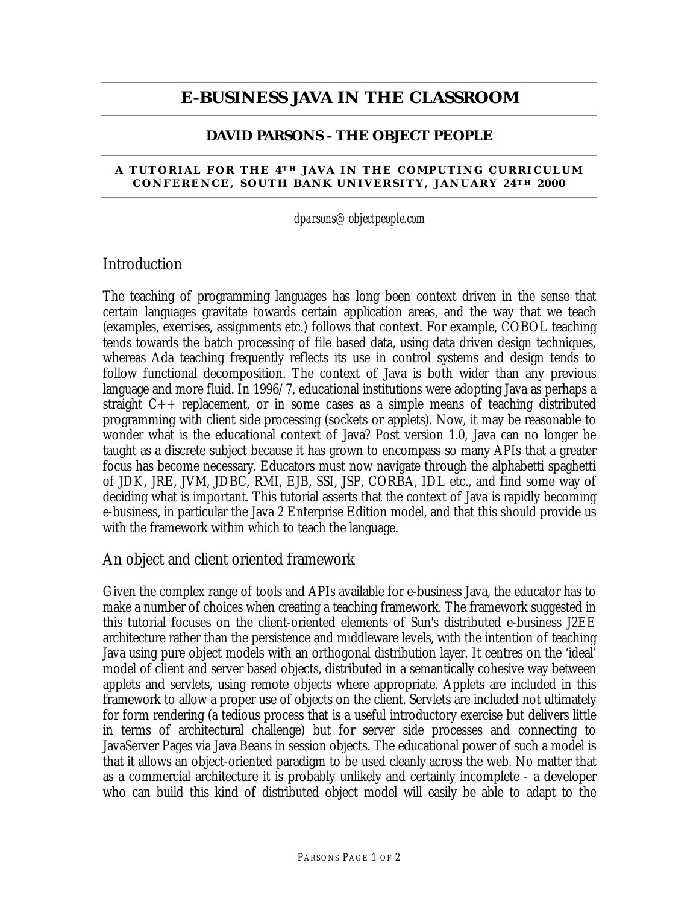# **E-BUSINESS JAVA IN THE CLASSROOM**

#### **DAVID PARSONS - THE OBJECT PEOPLE**

#### A TUTORIAL FOR THE 4<sup>TH</sup> JAVA IN THE COMPUTING CURRICULUM **CONFERENCE, SOUTH BANK UNIVERSITY, JANUARY 24TH 2000**

*dparsons@objectpeople.com*

### Introduction

The teaching of programming languages has long been context driven in the sense that certain languages gravitate towards certain application areas, and the way that we teach (examples, exercises, assignments etc.) follows that context. For example, COBOL teaching tends towards the batch processing of file based data, using data driven design techniques, whereas Ada teaching frequently reflects its use in control systems and design tends to follow functional decomposition. The context of Java is both wider than any previous language and more fluid. In 1996/7, educational institutions were adopting Java as perhaps a straight C++ replacement, or in some cases as a simple means of teaching distributed programming with client side processing (sockets or applets). Now, it may be reasonable to wonder what is the educational context of Java? Post version 1.0, Java can no longer be taught as a discrete subject because it has grown to encompass so many APIs that a greater focus has become necessary. Educators must now navigate through the alphabetti spaghetti of JDK, JRE, JVM, JDBC, RMI, EJB, SSI, JSP, CORBA, IDL etc., and find some way of deciding what is important. This tutorial asserts that the context of Java is rapidly becoming e-business, in particular the Java 2 Enterprise Edition model, and that this should provide us with the framework within which to teach the language.

# An object and client oriented framework

Given the complex range of tools and APIs available for e-business Java, the educator has to make a number of choices when creating a teaching framework. The framework suggested in this tutorial focuses on the client-oriented elements of Sun's distributed e-business J2EE architecture rather than the persistence and middleware levels, with the intention of teaching Java using pure object models with an orthogonal distribution layer. It centres on the 'ideal' model of client and server based objects, distributed in a semantically cohesive way between applets and servlets, using remote objects where appropriate. Applets are included in this framework to allow a proper use of objects on the client. Servlets are included not ultimately for form rendering (a tedious process that is a useful introductory exercise but delivers little in terms of architectural challenge) but for server side processes and connecting to JavaServer Pages via Java Beans in session objects. The educational power of such a model is that it allows an object-oriented paradigm to be used cleanly across the web. No matter that as a commercial architecture it is probably unlikely and certainly incomplete - a developer who can build this kind of distributed object model will easily be able to adapt to the